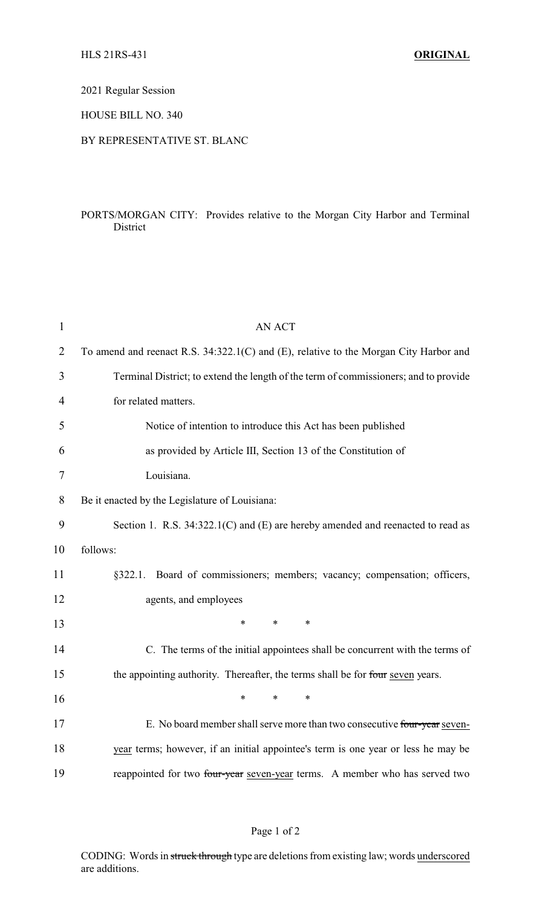2021 Regular Session

HOUSE BILL NO. 340

## BY REPRESENTATIVE ST. BLANC

## PORTS/MORGAN CITY: Provides relative to the Morgan City Harbor and Terminal District

| $\mathbf{1}$   | <b>AN ACT</b>                                                                         |  |  |
|----------------|---------------------------------------------------------------------------------------|--|--|
| $\overline{2}$ | To amend and reenact R.S. 34:322.1(C) and (E), relative to the Morgan City Harbor and |  |  |
| 3              | Terminal District; to extend the length of the term of commissioners; and to provide  |  |  |
| 4              | for related matters.                                                                  |  |  |
| 5              | Notice of intention to introduce this Act has been published                          |  |  |
| 6              | as provided by Article III, Section 13 of the Constitution of                         |  |  |
| 7              | Louisiana.                                                                            |  |  |
| 8              | Be it enacted by the Legislature of Louisiana:                                        |  |  |
| 9              | Section 1. R.S. 34:322.1(C) and (E) are hereby amended and reenacted to read as       |  |  |
| 10             | follows:                                                                              |  |  |
| 11             | §322.1. Board of commissioners; members; vacancy; compensation; officers,             |  |  |
| 12             | agents, and employees                                                                 |  |  |
| 13             | $\ast$<br>*<br>$\ast$                                                                 |  |  |
| 14             | C. The terms of the initial appointees shall be concurrent with the terms of          |  |  |
| 15             | the appointing authority. Thereafter, the terms shall be for four seven years.        |  |  |
| 16             | $\ast$<br>*<br>$\ast$                                                                 |  |  |
| 17             | E. No board member shall serve more than two consecutive four-year seven-             |  |  |
| 18             | year terms; however, if an initial appointee's term is one year or less he may be     |  |  |
| 19             | reappointed for two four-year seven-year terms. A member who has served two           |  |  |

## Page 1 of 2

CODING: Words in struck through type are deletions from existing law; words underscored are additions.